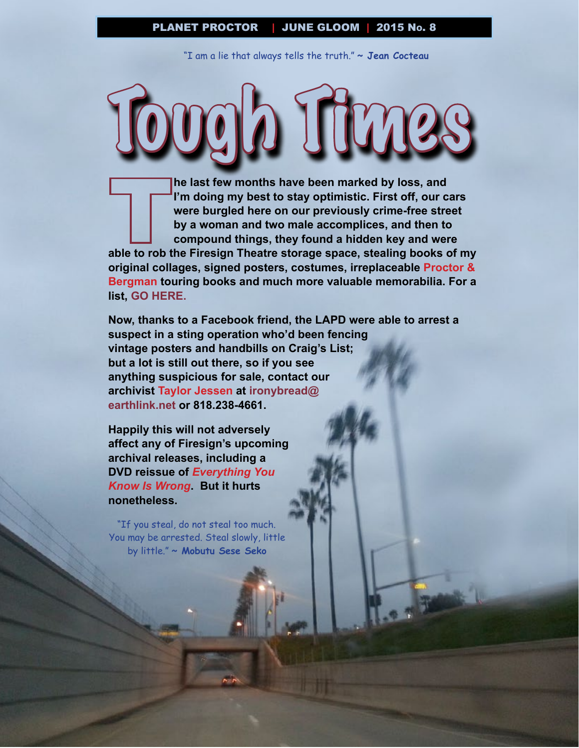"I am a lie that always tells the truth." **~ Jean Cocteau**

Tough Times

**he last few months have been marked by loss, and I'm doing my best to stay optimistic. First off, our cars were burgled here on our previously crime-free street by a woman and two male accomplices, and then to compound things, they found a hidden key and were able to rob the Firesign Theatre storage space, stealing books of my original collages, signed posters, costumes, irreplaceable Proctor & Bergman touring books and much more valuable memorabilia. For a list, [GO HERE.](to://www.footnoteconspiracy.com/PressReleases/TFTStolenItemList2015-06-16.pdf)**

**Now, thanks to a Facebook friend, the LAPD were able to arrest a suspect in a sting operation who'd been fencing vintage posters and handbills on Craig's List; but a lot is still out there, so if you see anything suspicious for sale, contact our archivist Taylor Jessen at [ironybread@](mailto:ironybread@earthlink.net) [earthlink.net](mailto:ironybread@earthlink.net) or 818.238-4661.** 

**Happily this will not adversely affect any of Firesign's upcoming archival releases, including a DVD reissue of** *Everything You Know Is Wrong***. But it hurts nonetheless.**

"If you steal, do not steal too much. You may be arrested. Steal slowly, little by little." **~ Mobutu Sese Seko**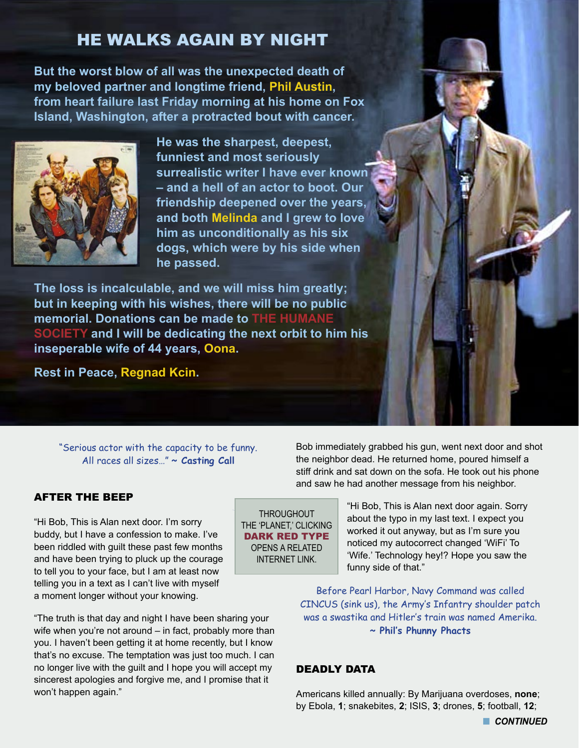## HE WALKS AGAIN BY NIGHT

**But the worst blow of all was the unexpected death of my beloved partner and longtime friend, Phil Austin, from heart failure last Friday morning at his home on Fox Island, Washington, after a protracted bout with cancer.** 



**He was the sharpest, deepest, funniest and most seriously surrealistic writer I have ever known – and a hell of an actor to boot. Our friendship deepened over the years, and both Melinda and I grew to love him as unconditionally as his six dogs, which were by his side when he passed.** 

**The loss is incalculable, and we will miss him greatly; but in keeping with his wishes, there will be no public memorial. Donations can be made to [THE HUMANE](http://www.thehumanesociety.org)  [SOCIETY](http://www.thehumanesociety.org) and I will be dedicating the next orbit to him his inseperable wife of 44 years, Oona.**

**Rest in Peace, Regnad Kcin.**

"Serious actor with the capacity to be funny. All races all sizes…" **~ Casting Call**

#### AFTER THE BEEP

"Hi Bob, This is Alan next door. I'm sorry buddy, but I have a confession to make. I've been riddled with guilt these past few months and have been trying to pluck up the courage to tell you to your face, but I am at least now telling you in a text as I can't live with myself a moment longer without your knowing.

"The truth is that day and night I have been sharing your wife when you're not around – in fact, probably more than you. I haven't been getting it at home recently, but I know that's no excuse. The temptation was just too much. I can no longer live with the guilt and I hope you will accept my sincerest apologies and forgive me, and I promise that it won't happen again."

Bob immediately grabbed his gun, went next door and shot the neighbor dead. He returned home, poured himself a stiff drink and sat down on the sofa. He took out his phone and saw he had another message from his neighbor.

> "Hi Bob, This is Alan next door again. Sorry about the typo in my last text. I expect you worked it out anyway, but as I'm sure you noticed my autocorrect changed 'WiFi' To 'Wife.' Technology hey!? Hope you saw the funny side of that."

Before Pearl Harbor, Navy Command was called CINCUS (sink us), the Army's Infantry shoulder patch was a swastika and Hitler's train was named Amerika. **~ Phil's Phunny Phacts**

#### DEADLY DATA

THROUGHOUT THE 'PLANET,' CLICKING DARK RED TYPE OPENS A RELATED INTERNET I INK

> Americans killed annually: By Marijuana overdoses, **none**; by Ebola, **1**; snakebites, **2**; ISIS, **3**; drones, **5**; football, **12**;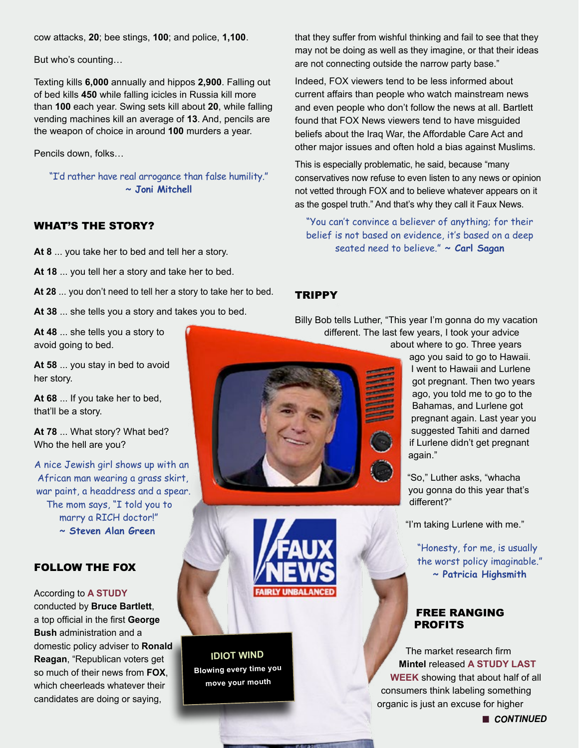cow attacks, **20**; bee stings, **100**; and police, **1,100**.

But who's counting…

Texting kills **6,000** annually and hippos **2,900**. Falling out of bed kills **450** while falling icicles in Russia kill more than **100** each year. Swing sets kill about **20**, while falling vending machines kill an average of **13**. And, pencils are the weapon of choice in around **100** murders a year.

Pencils down, folks…

"I'd rather have real arrogance than false humility." **~ Joni Mitchell**

#### WHAT'S THE STORY?

**At 8** ... you take her to bed and tell her a story.

**At 18** ... you tell her a story and take her to bed.

**At 28** ... you don't need to tell her a story to take her to bed.

**At 38** ... she tells you a story and takes you to bed.

**At 48** ... she tells you a story to avoid going to bed.

**At 58** ... you stay in bed to avoid her story.

**At 68** ... If you take her to bed, that'll be a story.

**At 78** ... What story? What bed? Who the hell are you?

A nice Jewish girl shows up with an African man wearing a grass skirt, war paint, a headdress and a spear. The mom says, "I told you to marry a RICH doctor!" **~ Steven Alan Green**

#### FOLLOW THE FOX

According to **[A STUDY](http://papers.ssrn.com/sol3/papers.cfm?abstract_id=2604679)** conducted by **Bruce Bartlett**, a top official in the first **George Bush** administration and a domestic policy adviser to **Ronald Reagan**, "Republican voters get so much of their news from **FOX**, which cheerleads whatever their candidates are doing or saying,

that they suffer from wishful thinking and fail to see that they may not be doing as well as they imagine, or that their ideas are not connecting outside the narrow party base."

Indeed, FOX viewers tend to be less informed about current affairs than people who watch mainstream news and even people who don't follow the news at all. Bartlett found that FOX News viewers tend to have misguided beliefs about the Iraq War, the Affordable Care Act and other major issues and often hold a bias against Muslims.

This is especially problematic, he said, because "many conservatives now refuse to even listen to any news or opinion not vetted through FOX and to believe whatever appears on it as the gospel truth." And that's why they call it Faux News.

"You can't convince a believer of anything; for their belief is not based on evidence, it's based on a deep seated need to believe." **~ Carl Sagan**

#### **TRIPPY**

Billy Bob tells Luther, "This year I'm gonna do my vacation different. The last few years, I took your advice

about where to go. Three years ago you said to go to Hawaii. I went to Hawaii and Lurlene

got pregnant. Then two years ago, you told me to go to the Bahamas, and Lurlene got pregnant again. Last year you suggested Tahiti and darned if Lurlene didn't get pregnant again."

"So," Luther asks, "whacha you gonna do this year that's different?"

"I'm taking Lurlene with me."

"Honesty, for me, is usually the worst policy imaginable." **~ Patricia Highsmith**

#### FREE RANGING PROFITS

The market research firm **Mintel** released **[A STUDY LAST](http://www.mintel.com/press-centre/food-and-drink/over-half-of-us-consumers-think-organic-labeling-is-an-excuse-to-charge-more)  [WEEK](http://www.mintel.com/press-centre/food-and-drink/over-half-of-us-consumers-think-organic-labeling-is-an-excuse-to-charge-more)** showing that about half of all consumers think labeling something organic is just an excuse for higher

**n** CONTINUED



**FAIRLY UNBALANCE** 

**IDIOT WIND Blowing every time you move your mouth**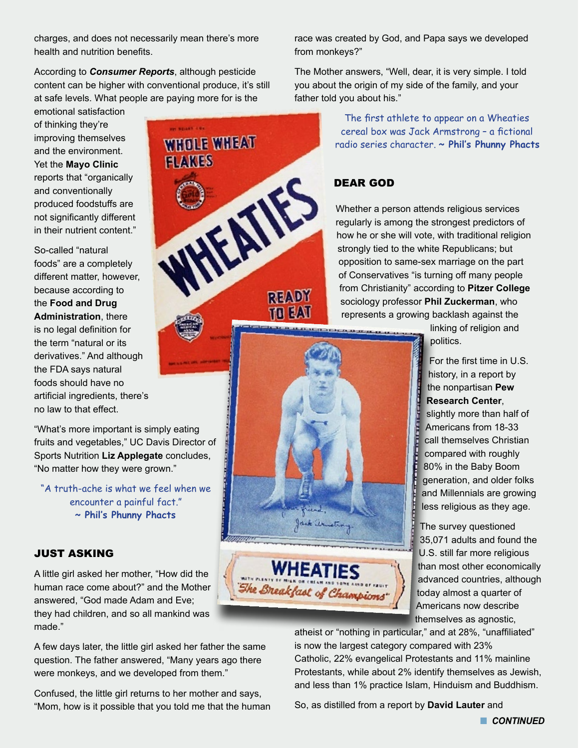charges, and does not necessarily mean there's more health and nutrition benefits.

According to *Consumer Reports*, although pesticide content can be higher with conventional produce, it's still at safe levels. What people are paying more for is the

**WHOLE WHEAT** 

**FLAKES** 

emotional satisfaction of thinking they're improving themselves and the environment. Yet the **Mayo Clinic** reports that "organically and conventionally produced foodstuffs are not significantly different in their nutrient content."

So-called "natural foods" are a completely different matter, however, because according to the **Food and Drug Administration**, there is no legal definition for the term "natural or its derivatives." And although the FDA says natural foods should have no artificial ingredients, there's no law to that effect.

"What's more important is simply eating fruits and vegetables," UC Davis Director of Sports Nutrition **Liz Applegate** concludes, "No matter how they were grown."

"A truth-ache is what we feel when we encounter a painful fact." **~ Phil's Phunny Phacts**

#### JUST ASKING

A little girl asked her mother, "How did the human race come about?" and the Mother answered, "God made Adam and Eve; they had children, and so all mankind was made."

A few days later, the little girl asked her father the same question. The father answered, "Many years ago there were monkeys, and we developed from them."

Confused, the little girl returns to her mother and says, "Mom, how is it possible that you told me that the human race was created by God, and Papa says we developed from monkeys?"

The Mother answers, "Well, dear, it is very simple. I told you about the origin of my side of the family, and your father told you about his."

> The first athlete to appear on a Wheaties cereal box was Jack Armstrong – a fictional radio series character. **~ Phil's Phunny Phacts**

#### DEAR GOD

**EXECUTIVE 1999** 

Jack armstrong.

**WHEATIES** 

The Breakfast of Champions

**READY** 70 EAI

Whether a person attends religious services regularly is among the strongest predictors of how he or she will vote, with traditional religion strongly tied to the white Republicans; but opposition to same-sex marriage on the part of Conservatives "is turning off many people from Christianity" according to **Pitzer College** sociology professor **Phil Zuckerman**, who represents a growing backlash against the

> linking of religion and politics.

For the first time in U.S. history, in a report by the nonpartisan **Pew Research Center**, slightly more than half of Americans from 18-33 call themselves Christian compared with roughly 80% in the Baby Boom generation, and older folks and Millennials are growing less religious as they age.

The survey questioned 35,071 adults and found the U.S. still far more religious than most other economically advanced countries, although today almost a quarter of Americans now describe themselves as agnostic,

atheist or "nothing in particular," and at 28%, "unaffiliated" is now the largest category compared with 23% Catholic, 22% evangelical Protestants and 11% mainline Protestants, while about 2% identify themselves as Jewish, and less than 1% practice Islam, Hinduism and Buddhism.

So, as distilled from a report by **David Lauter** and